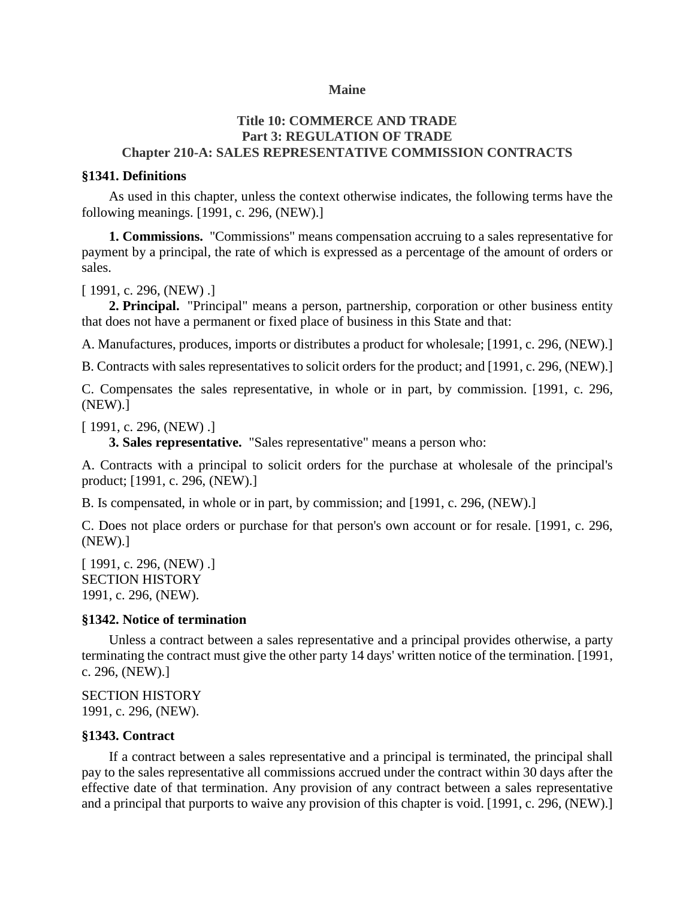### **Maine**

### **Title 10: COMMERCE AND TRADE Part 3: REGULATION OF TRADE Chapter 210-A: SALES REPRESENTATIVE COMMISSION CONTRACTS**

#### **§1341. Definitions**

As used in this chapter, unless the context otherwise indicates, the following terms have the following meanings. [1991, c. 296, (NEW).]

**1. Commissions.** "Commissions" means compensation accruing to a sales representative for payment by a principal, the rate of which is expressed as a percentage of the amount of orders or sales.

[1991, c. 296, (NEW) .]

**2. Principal.** "Principal" means a person, partnership, corporation or other business entity that does not have a permanent or fixed place of business in this State and that:

A. Manufactures, produces, imports or distributes a product for wholesale; [1991, c. 296, (NEW).]

B. Contracts with sales representatives to solicit orders for the product; and [1991, c. 296, (NEW).]

C. Compensates the sales representative, in whole or in part, by commission. [1991, c. 296, (NEW).]

[ 1991, c. 296, (NEW) .]

**3. Sales representative.** "Sales representative" means a person who:

A. Contracts with a principal to solicit orders for the purchase at wholesale of the principal's product; [1991, c. 296, (NEW).]

B. Is compensated, in whole or in part, by commission; and [1991, c. 296, (NEW).]

C. Does not place orders or purchase for that person's own account or for resale. [1991, c. 296, (NEW).]

[ 1991, c. 296, (NEW) .] SECTION HISTORY 1991, c. 296, (NEW).

### **§1342. Notice of termination**

Unless a contract between a sales representative and a principal provides otherwise, a party terminating the contract must give the other party 14 days' written notice of the termination. [1991, c. 296, (NEW).]

SECTION HISTORY 1991, c. 296, (NEW).

### **§1343. Contract**

If a contract between a sales representative and a principal is terminated, the principal shall pay to the sales representative all commissions accrued under the contract within 30 days after the effective date of that termination. Any provision of any contract between a sales representative and a principal that purports to waive any provision of this chapter is void. [1991, c. 296, (NEW).]